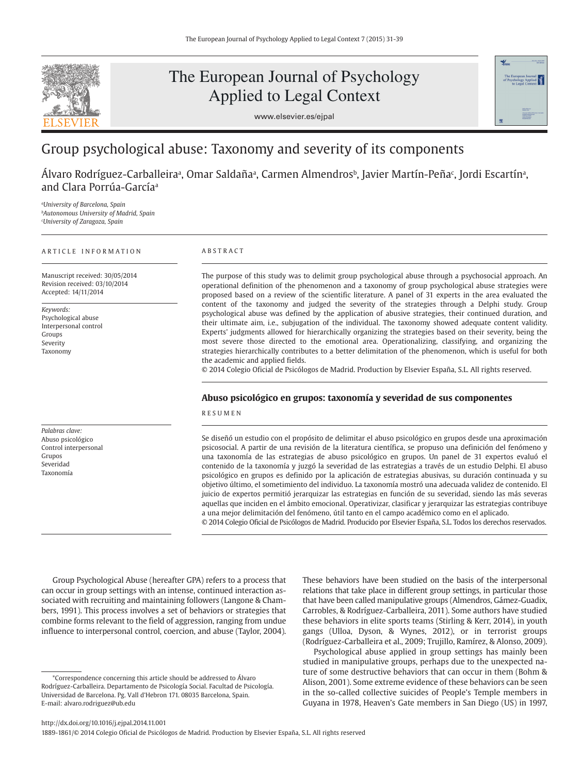

# The European Journal of Psychology Applied to Legal Context





## Group psychological abuse: Taxonomy and severity of its components

Alvaro Rodríguez-Carballeiraª, Omar Saldañaª, Carmen Almendrosʰ, Javier Martín-Peñaʿ, Jordi Escartínª, and Clara Porrúa-García<sup>a</sup>

*<sup>a</sup>University of Barcelona, Spain <sup>b</sup>Autonomous University of Madrid, Spain <sup>c</sup>University of Zaragoza, Spain*

#### A R T I C L E I N F O R M A T I O N

Manuscript received: 30/05/2014 Revision received: 03/10/2014 Accepted: 14/11/2014

*Keywords:* Psychological abuse Interpersonal control Groups Severity Taxonomy

*Palabras clave:*  Abuso psicológico Control interpersonal Grupos Severidad Taxonomía

## A B S T R A C T

The purpose of this study was to delimit group psychological abuse through a psychosocial approach. An operational definition of the phenomenon and a taxonomy of group psychological abuse strategies were proposed based on a review of the scientific literature. A panel of 31 experts in the area evaluated the content of the taxonomy and judged the severity of the strategies through a Delphi study. Group psychological abuse was defined by the application of abusive strategies, their continued duration, and their ultimate aim, i.e., subjugation of the individual. The taxonomy showed adequate content validity. Experts' judgments allowed for hierarchically organizing the strategies based on their severity, being the most severe those directed to the emotional area. Operationalizing, classifying, and organizing the strategies hierarchically contributes to a better delimitation of the phenomenon, which is useful for both the academic and applied fields.

© 2014 Colegio Oficial de Psicólogos de Madrid. Production by Elsevier España, S.L. All rights reserved.

## **Abuso psicológico en grupos: taxonomía y severidad de sus componentes**

R E S U M E N

Se diseñó un estudio con el propósito de delimitar el abuso psicológico en grupos desde una aproximación psicosocial. A partir de una revisión de la literatura científica, se propuso una definición del fenómeno y una taxonomía de las estrategias de abuso psicológico en grupos. Un panel de 31 expertos evaluó el contenido de la taxonomía y juzgó la severidad de las estrategias a través de un estudio Delphi. El abuso psicológico en grupos es definido por la aplicación de estrategias abusivas, su duración continuada y su objetivo último, el sometimiento del individuo. La taxonomía mostró una adecuada validez de contenido. El juicio de expertos permitió jerarquizar las estrategias en función de su severidad, siendo las más severas aquellas que inciden en el ámbito emocional. Operativizar, clasificar y jerarquizar las estrategias contribuye a una mejor delimitación del fenómeno, útil tanto en el campo académico como en el aplicado. © 2014 Colegio Oficial de Psicólogos de Madrid. Producido por Elsevier España, S.L. Todos los derechos reservados.

Group Psychological Abuse (hereafter GPA) refers to a process that can occur in group settings with an intense, continued interaction associated with recruiting and maintaining followers (Langone & Chambers, 1991). This process involves a set of behaviors or strategies that combine forms relevant to the field of aggression, ranging from undue influence to interpersonal control, coercion, and abuse (Taylor, 2004). These behaviors have been studied on the basis of the interpersonal relations that take place in different group settings, in particular those that have been called manipulative groups (Almendros, Gámez-Guadix, Carrobles, & Rodríguez-Carballeira, 2011). Some authors have studied these behaviors in elite sports teams (Stirling & Kerr, 2014), in youth gangs (Ulloa, Dyson, & Wynes, 2012), or in terrorist groups (Rodríguez-Carballeira et al., 2009; Trujillo, Ramírez, & Alonso, 2009).

Psychological abuse applied in group settings has mainly been studied in manipulative groups, perhaps due to the unexpected nature of some destructive behaviors that can occur in them (Bohm & Alison, 2001). Some extreme evidence of these behaviors can be seen in the so-called collective suicides of People's Temple members in Guyana in 1978, Heaven's Gate members in San Diego (US) in 1997,

<sup>\*</sup>Correspondence concerning this article should be addressed to Álvaro Rodríguez-Carballeira. Departamento de Psicología Social. Facultad de Psicología. Universidad de Barcelona. Pg. Vall d'Hebron 171. 08035 Barcelona, Spain. E-mail: alvaro.rodriguez@ub.edu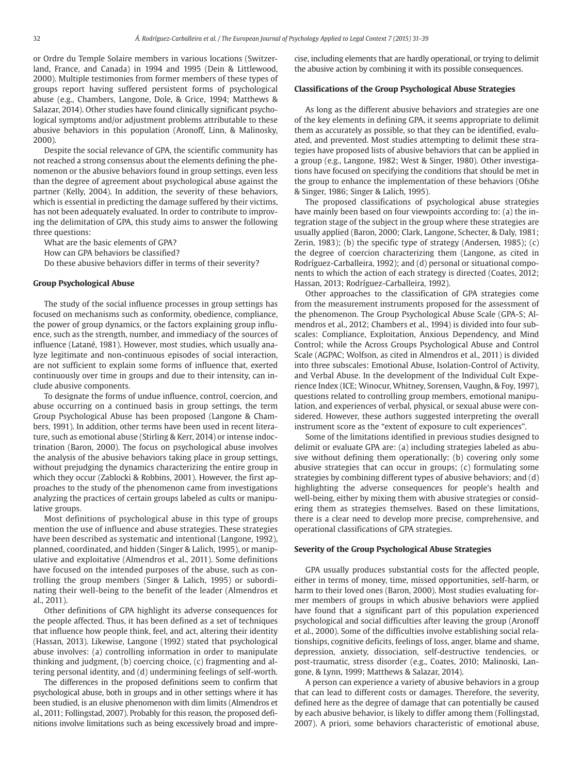or Ordre du Temple Solaire members in various locations (Switzerland, France, and Canada) in 1994 and 1995 (Dein & Littlewood, 2000). Multiple testimonies from former members of these types of groups report having suffered persistent forms of psychological abuse (e.g., Chambers, Langone, Dole, & Grice, 1994; Matthews & Salazar, 2014). Other studies have found clinically significant psychological symptoms and/or adjustment problems attributable to these abusive behaviors in this population (Aronoff, Linn, & Malinosky, 2000).

Despite the social relevance of GPA, the scientific community has not reached a strong consensus about the elements defining the phenomenon or the abusive behaviors found in group settings, even less than the degree of agreement about psychological abuse against the partner (Kelly, 2004). In addition, the severity of these behaviors, which is essential in predicting the damage suffered by their victims, has not been adequately evaluated. In order to contribute to improving the delimitation of GPA, this study aims to answer the following three questions:

What are the basic elements of GPA?

How can GPA behaviors be classified?

Do these abusive behaviors differ in terms of their severity?

## **Group Psychological Abuse**

The study of the social influence processes in group settings has focused on mechanisms such as conformity, obedience, compliance, the power of group dynamics, or the factors explaining group influence, such as the strength, number, and immediacy of the sources of influence (Latané, 1981). However, most studies, which usually analyze legitimate and non-continuous episodes of social interaction, are not sufficient to explain some forms of influence that, exerted continuously over time in groups and due to their intensity, can include abusive components.

To designate the forms of undue influence, control, coercion, and abuse occurring on a continued basis in group settings, the term Group Psychological Abuse has been proposed (Langone & Chambers, 1991). In addition, other terms have been used in recent literature, such as emotional abuse (Stirling & Kerr, 2014) or intense indoctrination (Baron, 2000). The focus on psychological abuse involves the analysis of the abusive behaviors taking place in group settings, without prejudging the dynamics characterizing the entire group in which they occur (Zablocki & Robbins, 2001). However, the first approaches to the study of the phenomenon came from investigations analyzing the practices of certain groups labeled as cults or manipulative groups.

Most definitions of psychological abuse in this type of groups mention the use of influence and abuse strategies. These strategies have been described as systematic and intentional (Langone, 1992), planned, coordinated, and hidden (Singer & Lalich, 1995), or manipulative and exploitative (Almendros et al., 2011). Some definitions have focused on the intended purposes of the abuse, such as controlling the group members (Singer & Lalich, 1995) or subordinating their well-being to the benefit of the leader (Almendros et al., 2011).

Other definitions of GPA highlight its adverse consequences for the people affected. Thus, it has been defined as a set of techniques that influence how people think, feel, and act, altering their identity (Hassan, 2013). Likewise, Langone (1992) stated that psychological abuse involves: (a) controlling information in order to manipulate thinking and judgment, (b) coercing choice, (c) fragmenting and altering personal identity, and (d) undermining feelings of self-worth.

The differences in the proposed definitions seem to confirm that psychological abuse, both in groups and in other settings where it has been studied, is an elusive phenomenon with dim limits (Almendros et al., 2011; Follingstad, 2007). Probably for this reason, the proposed definitions involve limitations such as being excessively broad and imprecise, including elements that are hardly operational, or trying to delimit the abusive action by combining it with its possible consequences.

#### **Classifications of the Group Psychological Abuse Strategies**

As long as the different abusive behaviors and strategies are one of the key elements in defining GPA, it seems appropriate to delimit them as accurately as possible, so that they can be identified, evaluated, and prevented. Most studies attempting to delimit these strategies have proposed lists of abusive behaviors that can be applied in a group (e.g., Langone, 1982; West & Singer, 1980). Other investigations have focused on specifying the conditions that should be met in the group to enhance the implementation of these behaviors (Ofshe & Singer, 1986; Singer & Lalich, 1995).

The proposed classifications of psychological abuse strategies have mainly been based on four viewpoints according to: (a) the integration stage of the subject in the group where these strategies are usually applied (Baron, 2000; Clark, Langone, Schecter, & Daly, 1981; Zerin, 1983); (b) the specific type of strategy (Andersen, 1985); (c) the degree of coercion characterizing them (Langone, as cited in Rodríguez-Carballeira, 1992); and (d) personal or situational components to which the action of each strategy is directed (Coates, 2012; Hassan, 2013; Rodríguez-Carballeira, 1992).

Other approaches to the classification of GPA strategies come from the measurement instruments proposed for the assessment of the phenomenon. The Group Psychological Abuse Scale (GPA-S; Almendros et al., 2012; Chambers et al., 1994) is divided into four subscales: Compliance, Exploitation, Anxious Dependency, and Mind Control; while the Across Groups Psychological Abuse and Control Scale (AGPAC; Wolfson, as cited in Almendros et al., 2011) is divided into three subscales: Emotional Abuse, Isolation-Control of Activity, and Verbal Abuse. In the development of the Individual Cult Experience Index (ICE; Winocur, Whitney, Sorensen, Vaughn, & Foy, 1997), questions related to controlling group members, emotional manipulation, and experiences of verbal, physical, or sexual abuse were considered. However, these authors suggested interpreting the overall instrument score as the "extent of exposure to cult experiences".

Some of the limitations identified in previous studies designed to delimit or evaluate GPA are: (a) including strategies labeled as abusive without defining them operationally; (b) covering only some abusive strategies that can occur in groups; (c) formulating some strategies by combining different types of abusive behaviors; and (d) highlighting the adverse consequences for people's health and well-being, either by mixing them with abusive strategies or considering them as strategies themselves. Based on these limitations, there is a clear need to develop more precise, comprehensive, and operational classifications of GPA strategies.

#### **Severity of the Group Psychological Abuse Strategies**

GPA usually produces substantial costs for the affected people, either in terms of money, time, missed opportunities, self-harm, or harm to their loved ones (Baron, 2000). Most studies evaluating former members of groups in which abusive behaviors were applied have found that a significant part of this population experienced psychological and social difficulties after leaving the group (Aronoff et al., 2000). Some of the difficulties involve establishing social relationships, cognitive deficits, feelings of loss, anger, blame and shame, depression, anxiety, dissociation, self-destructive tendencies, or post-traumatic, stress disorder (e.g., Coates, 2010; Malinoski, Langone, & Lynn, 1999; Matthews & Salazar, 2014).

A person can experience a variety of abusive behaviors in a group that can lead to different costs or damages. Therefore, the severity, defined here as the degree of damage that can potentially be caused by each abusive behavior, is likely to differ among them (Follingstad, 2007). A priori, some behaviors characteristic of emotional abuse,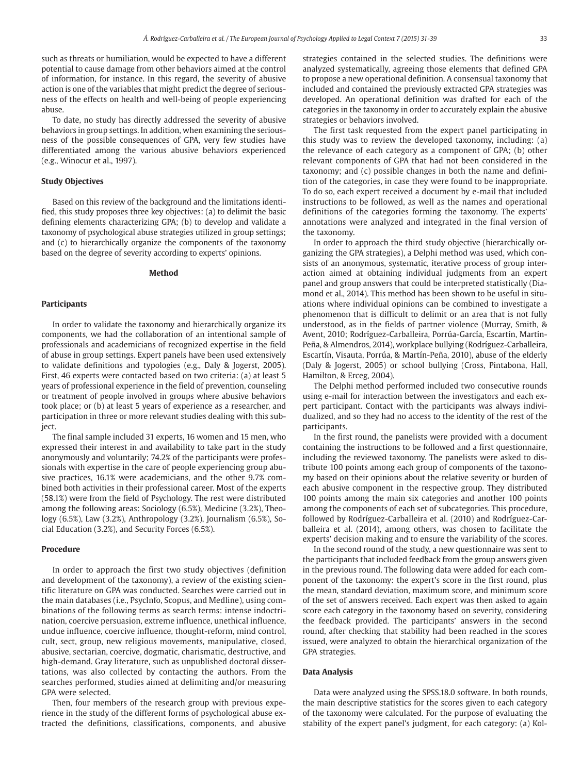such as threats or humiliation, would be expected to have a different potential to cause damage from other behaviors aimed at the control of information, for instance. In this regard, the severity of abusive action is one of the variables that might predict the degree of seriousness of the effects on health and well-being of people experiencing abuse.

To date, no study has directly addressed the severity of abusive behaviors in group settings. In addition, when examining the seriousness of the possible consequences of GPA, very few studies have differentiated among the various abusive behaviors experienced (e.g., Winocur et al., 1997).

## **Study Objectives**

Based on this review of the background and the limitations identified, this study proposes three key objectives: (a) to delimit the basic defining elements characterizing GPA; (b) to develop and validate a taxonomy of psychological abuse strategies utilized in group settings; and (c) to hierarchically organize the components of the taxonomy based on the degree of severity according to experts' opinions.

## **Method**

#### **Participants**

In order to validate the taxonomy and hierarchically organize its components, we had the collaboration of an intentional sample of professionals and academicians of recognized expertise in the field of abuse in group settings. Expert panels have been used extensively to validate definitions and typologies (e.g., Daly & Jogerst, 2005). First, 46 experts were contacted based on two criteria: (a) at least 5 years of professional experience in the field of prevention, counseling or treatment of people involved in groups where abusive behaviors took place; or (b) at least 5 years of experience as a researcher, and participation in three or more relevant studies dealing with this subject.

The final sample included 31 experts, 16 women and 15 men, who expressed their interest in and availability to take part in the study anonymously and voluntarily; 74.2% of the participants were professionals with expertise in the care of people experiencing group abusive practices, 16.1% were academicians, and the other 9.7% combined both activities in their professional career. Most of the experts (58.1%) were from the field of Psychology. The rest were distributed among the following areas: Sociology (6.5%), Medicine (3.2%), Theology (6.5%), Law (3.2%), Anthropology (3.2%), Journalism (6.5%), Social Education (3.2%), and Security Forces (6.5%).

#### **Procedure**

In order to approach the first two study objectives (definition and development of the taxonomy), a review of the existing scientific literature on GPA was conducted. Searches were carried out in the main databases (i.e., PsycInfo, Scopus, and Medline), using combinations of the following terms as search terms: intense indoctrination, coercive persuasion, extreme influence, unethical influence, undue influence, coercive influence, thought-reform, mind control, cult, sect, group, new religious movements, manipulative, closed, abusive, sectarian, coercive, dogmatic, charismatic, destructive, and high-demand. Gray literature, such as unpublished doctoral dissertations, was also collected by contacting the authors. From the searches performed, studies aimed at delimiting and/or measuring GPA were selected.

Then, four members of the research group with previous experience in the study of the different forms of psychological abuse extracted the definitions, classifications, components, and abusive strategies contained in the selected studies. The definitions were analyzed systematically, agreeing those elements that defined GPA to propose a new operational definition. A consensual taxonomy that included and contained the previously extracted GPA strategies was developed. An operational definition was drafted for each of the categories in the taxonomy in order to accurately explain the abusive strategies or behaviors involved.

The first task requested from the expert panel participating in this study was to review the developed taxonomy, including: (a) the relevance of each category as a component of GPA; (b) other relevant components of GPA that had not been considered in the taxonomy; and (c) possible changes in both the name and definition of the categories, in case they were found to be inappropriate. To do so, each expert received a document by e-mail that included instructions to be followed, as well as the names and operational definitions of the categories forming the taxonomy. The experts' annotations were analyzed and integrated in the final version of the taxonomy.

In order to approach the third study objective (hierarchically organizing the GPA strategies), a Delphi method was used, which consists of an anonymous, systematic, iterative process of group interaction aimed at obtaining individual judgments from an expert panel and group answers that could be interpreted statistically (Diamond et al., 2014). This method has been shown to be useful in situations where individual opinions can be combined to investigate a phenomenon that is difficult to delimit or an area that is not fully understood, as in the fields of partner violence (Murray, Smith, & Avent, 2010; Rodríguez-Carballeira, Porrúa-García, Escartín, Martín-Peña, & Almendros, 2014), workplace bullying (Rodríguez-Carballeira, Escartín, Visauta, Porrúa, & Martín-Peña, 2010), abuse of the elderly (Daly & Jogerst, 2005) or school bullying (Cross, Pintabona, Hall, Hamilton, & Erceg, 2004).

The Delphi method performed included two consecutive rounds using e-mail for interaction between the investigators and each expert participant. Contact with the participants was always individualized, and so they had no access to the identity of the rest of the participants.

In the first round, the panelists were provided with a document containing the instructions to be followed and a first questionnaire, including the reviewed taxonomy. The panelists were asked to distribute 100 points among each group of components of the taxonomy based on their opinions about the relative severity or burden of each abusive component in the respective group. They distributed 100 points among the main six categories and another 100 points among the components of each set of subcategories. This procedure, followed by Rodríguez-Carballeira et al. (2010) and Rodríguez-Carballeira et al. (2014), among others, was chosen to facilitate the experts' decision making and to ensure the variability of the scores.

In the second round of the study, a new questionnaire was sent to the participants that included feedback from the group answers given in the previous round. The following data were added for each component of the taxonomy: the expert's score in the first round, plus the mean, standard deviation, maximum score, and minimum score of the set of answers received. Each expert was then asked to again score each category in the taxonomy based on severity, considering the feedback provided. The participants' answers in the second round, after checking that stability had been reached in the scores issued, were analyzed to obtain the hierarchical organization of the GPA strategies.

## **Data Analysis**

Data were analyzed using the SPSS.18.0 software. In both rounds, the main descriptive statistics for the scores given to each category of the taxonomy were calculated. For the purpose of evaluating the stability of the expert panel's judgment, for each category: (a) Kol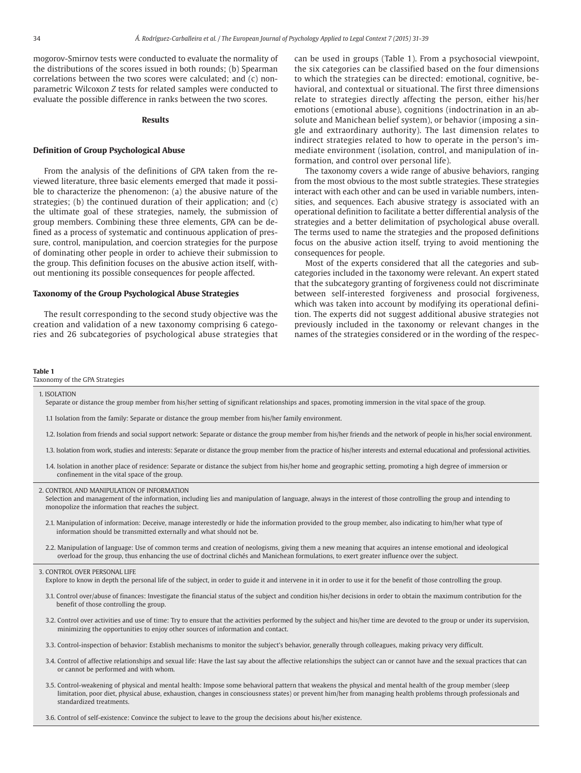mogorov-Smirnov tests were conducted to evaluate the normality of the distributions of the scores issued in both rounds; (b) Spearman correlations between the two scores were calculated; and (c) nonparametric Wilcoxon *Z* tests for related samples were conducted to evaluate the possible difference in ranks between the two scores.

#### **Results**

#### **Definition of Group Psychological Abuse**

From the analysis of the definitions of GPA taken from the reviewed literature, three basic elements emerged that made it possible to characterize the phenomenon: (a) the abusive nature of the strategies; (b) the continued duration of their application; and (c) the ultimate goal of these strategies, namely, the submission of group members. Combining these three elements, GPA can be defined as a process of systematic and continuous application of pressure, control, manipulation, and coercion strategies for the purpose of dominating other people in order to achieve their submission to the group. This definition focuses on the abusive action itself, without mentioning its possible consequences for people affected.

#### **Taxonomy of the Group Psychological Abuse Strategies**

The result corresponding to the second study objective was the creation and validation of a new taxonomy comprising 6 categories and 26 subcategories of psychological abuse strategies that can be used in groups (Table 1). From a psychosocial viewpoint, the six categories can be classified based on the four dimensions to which the strategies can be directed: emotional, cognitive, behavioral, and contextual or situational. The first three dimensions relate to strategies directly affecting the person, either his/her emotions (emotional abuse), cognitions (indoctrination in an absolute and Manichean belief system), or behavior (imposing a single and extraordinary authority). The last dimension relates to indirect strategies related to how to operate in the person's immediate environment (isolation, control, and manipulation of information, and control over personal life).

The taxonomy covers a wide range of abusive behaviors, ranging from the most obvious to the most subtle strategies. These strategies interact with each other and can be used in variable numbers, intensities, and sequences. Each abusive strategy is associated with an operational definition to facilitate a better differential analysis of the strategies and a better delimitation of psychological abuse overall. The terms used to name the strategies and the proposed definitions focus on the abusive action itself, trying to avoid mentioning the consequences for people.

Most of the experts considered that all the categories and subcategories included in the taxonomy were relevant. An expert stated that the subcategory granting of forgiveness could not discriminate between self-interested forgiveness and prosocial forgiveness, which was taken into account by modifying its operational definition. The experts did not suggest additional abusive strategies not previously included in the taxonomy or relevant changes in the names of the strategies considered or in the wording of the respec-

#### **Table 1**

Taxonomy of the GPA Strategies

#### 1. ISOLATION

Separate or distance the group member from his/her setting of significant relationships and spaces, promoting immersion in the vital space of the group.

- 1.1 Isolation from the family: Separate or distance the group member from his/her family environment.
- 1.2. Isolation from friends and social support network: Separate or distance the group member from his/her friends and the network of people in his/her social environment.
- 1.3. Isolation from work, studies and interests: Separate or distance the group member from the practice of his/her interests and external educational and professional activities.
- 1.4. Isolation in another place of residence: Separate or distance the subject from his/her home and geographic setting, promoting a high degree of immersion or confinement in the vital space of the group.

#### 2. CONTROL AND MANIPULATION OF INFORMATION

Selection and management of the information, including lies and manipulation of language, always in the interest of those controlling the group and intending to monopolize the information that reaches the subject.

- 2.1. Manipulation of information: Deceive, manage interestedly or hide the information provided to the group member, also indicating to him/her what type of information should be transmitted externally and what should not be.
- 2.2. Manipulation of language: Use of common terms and creation of neologisms, giving them a new meaning that acquires an intense emotional and ideological overload for the group, thus enhancing the use of doctrinal clichés and Manichean formulations, to exert greater influence over the subject.

#### 3. CONTROL OVER PERSONAL LIFE

Explore to know in depth the personal life of the subject, in order to guide it and intervene in it in order to use it for the benefit of those controlling the group.

- 3.1. Control over/abuse of finances: Investigate the financial status of the subject and condition his/her decisions in order to obtain the maximum contribution for the benefit of those controlling the group.
- 3.2. Control over activities and use of time: Try to ensure that the activities performed by the subject and his/her time are devoted to the group or under its supervision, minimizing the opportunities to enjoy other sources of information and contact.
- 3.3. Control-inspection of behavior: Establish mechanisms to monitor the subject's behavior, generally through colleagues, making privacy very difficult.
- 3.4. Control of affective relationships and sexual life: Have the last say about the affective relationships the subject can or cannot have and the sexual practices that can or cannot be performed and with whom.
- 3.5. Control-weakening of physical and mental health: Impose some behavioral pattern that weakens the physical and mental health of the group member (sleep limitation, poor diet, physical abuse, exhaustion, changes in consciousness states) or prevent him/her from managing health problems through professionals and standardized treatments.

3.6. Control of self-existence: Convince the subject to leave to the group the decisions about his/her existence.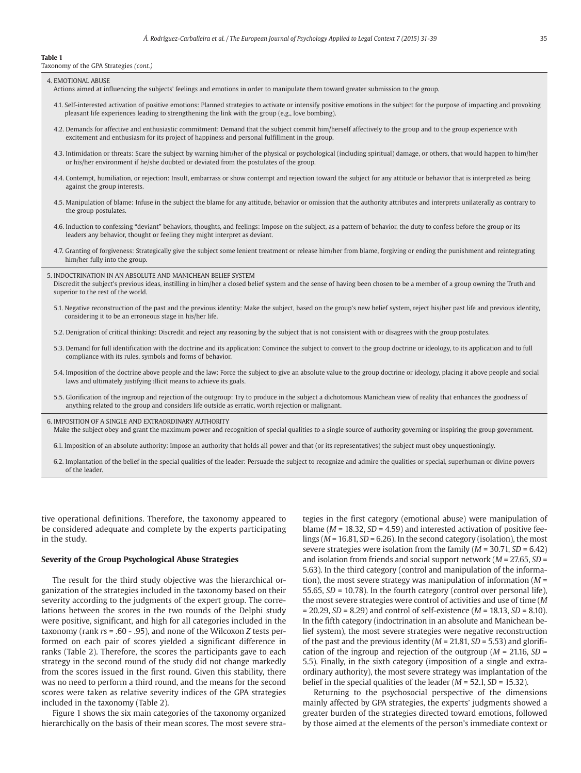#### **Table 1**

Taxonomy of the GPA Strategies *(cont.)*

4. EMOTIONAL ABUSE

- Actions aimed at influencing the subjects' feelings and emotions in order to manipulate them toward greater submission to the group.
- 4.1. Self-interested activation of positive emotions: Planned strategies to activate or intensify positive emotions in the subject for the purpose of impacting and provoking pleasant life experiences leading to strengthening the link with the group (e.g., love bombing).
- 4.2. Demands for affective and enthusiastic commitment: Demand that the subject commit him/herself affectively to the group and to the group experience with excitement and enthusiasm for its project of happiness and personal fulfillment in the group.
- 4.3. Intimidation or threats: Scare the subject by warning him/her of the physical or psychological (including spiritual) damage, or others, that would happen to him/her or his/her environment if he/she doubted or deviated from the postulates of the group.
- 4.4. Contempt, humiliation, or rejection: Insult, embarrass or show contempt and rejection toward the subject for any attitude or behavior that is interpreted as being against the group interests.
- 4.5. Manipulation of blame: Infuse in the subject the blame for any attitude, behavior or omission that the authority attributes and interprets unilaterally as contrary to the group postulates.
- 4.6. Induction to confessing "deviant" behaviors, thoughts, and feelings: Impose on the subject, as a pattern of behavior, the duty to confess before the group or its leaders any behavior, thought or feeling they might interpret as deviant.
- 4.7. Granting of forgiveness: Strategically give the subject some lenient treatment or release him/her from blame, forgiving or ending the punishment and reintegrating him/her fully into the group.
- 5. INDOCTRINATION IN AN ABSOLUTE AND MANICHEAN BELIEF SYSTEM

Discredit the subject's previous ideas, instilling in him/her a closed belief system and the sense of having been chosen to be a member of a group owning the Truth and superior to the rest of the world.

- 5.1. Negative reconstruction of the past and the previous identity: Make the subject, based on the group's new belief system, reject his/her past life and previous identity, considering it to be an erroneous stage in his/her life.
- 5.2. Denigration of critical thinking: Discredit and reject any reasoning by the subject that is not consistent with or disagrees with the group postulates.
- 5.3. Demand for full identification with the doctrine and its application: Convince the subject to convert to the group doctrine or ideology, to its application and to full compliance with its rules, symbols and forms of behavior.
- 5.4. Imposition of the doctrine above people and the law: Force the subject to give an absolute value to the group doctrine or ideology, placing it above people and social laws and ultimately justifying illicit means to achieve its goals.
- 5.5. Glorification of the ingroup and rejection of the outgroup: Try to produce in the subject a dichotomous Manichean view of reality that enhances the goodness of anything related to the group and considers life outside as erratic, worth rejection or malignant.
- 6. IMPOSITION OF A SINGLE AND EXTRAORDINARY AUTHORITY
	- Make the subject obey and grant the maximum power and recognition of special qualities to a single source of authority governing or inspiring the group government.
	- 6.1. Imposition of an absolute authority: Impose an authority that holds all power and that (or its representatives) the subject must obey unquestioningly.
	- 6.2. Implantation of the belief in the special qualities of the leader: Persuade the subject to recognize and admire the qualities or special, superhuman or divine powers of the leader.

tive operational definitions. Therefore, the taxonomy appeared to be considered adequate and complete by the experts participating in the study.

#### **Severity of the Group Psychological Abuse Strategies**

The result for the third study objective was the hierarchical organization of the strategies included in the taxonomy based on their severity according to the judgments of the expert group. The correlations between the scores in the two rounds of the Delphi study were positive, significant, and high for all categories included in the taxonomy (rank *r*s = .60 - .95), and none of the Wilcoxon *Z* tests performed on each pair of scores yielded a significant difference in ranks (Table 2). Therefore, the scores the participants gave to each strategy in the second round of the study did not change markedly from the scores issued in the first round. Given this stability, there was no need to perform a third round, and the means for the second scores were taken as relative severity indices of the GPA strategies included in the taxonomy (Table 2).

Figure 1 shows the six main categories of the taxonomy organized hierarchically on the basis of their mean scores. The most severe strategies in the first category (emotional abuse) were manipulation of blame (*M* = 18.32, *SD* = 4.59) and interested activation of positive feelings (*M* = 16.81, *SD* = 6.26). In the second category (isolation), the most severe strategies were isolation from the family (*M* = 30.71, *SD* = 6.42) and isolation from friends and social support network (*M* = 27.65, *SD* = 5.63). In the third category (control and manipulation of the information), the most severe strategy was manipulation of information (*M* = 55.65, *SD* = 10.78). In the fourth category (control over personal life), the most severe strategies were control of activities and use of time (*M* = 20.29, *SD* = 8.29) and control of self-existence (*M* = 18.13, *SD* = 8.10). In the fifth category (indoctrination in an absolute and Manichean belief system), the most severe strategies were negative reconstruction of the past and the previous identity (*M* = 21.81, *SD* = 5.53) and glorification of the ingroup and rejection of the outgroup (*M* = 21.16, *SD* = 5.5). Finally, in the sixth category (imposition of a single and extraordinary authority), the most severe strategy was implantation of the belief in the special qualities of the leader (*M* = 52.1, *SD* = 15.32).

Returning to the psychosocial perspective of the dimensions mainly affected by GPA strategies, the experts' judgments showed a greater burden of the strategies directed toward emotions, followed by those aimed at the elements of the person's immediate context or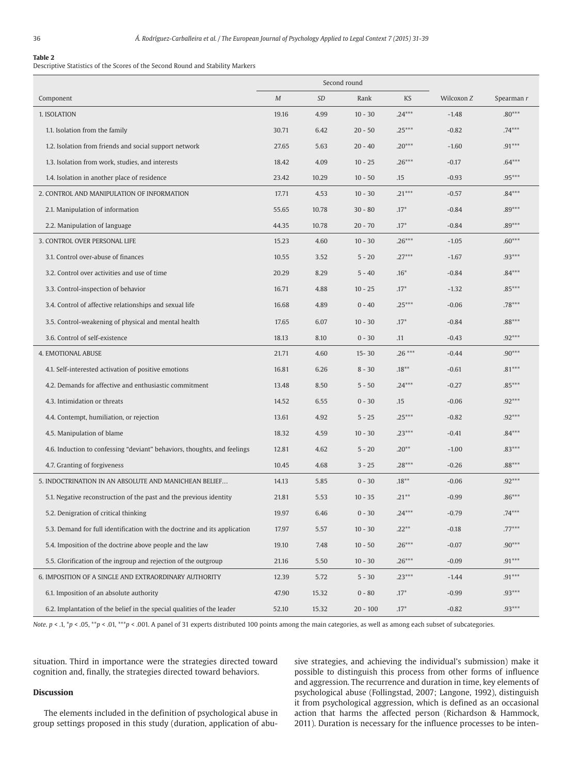## **Table 2**

Descriptive Statistics of the Scores of the Second Round and Stability Markers

|                                                                           | Second round |           |              |          |            |            |
|---------------------------------------------------------------------------|--------------|-----------|--------------|----------|------------|------------|
| Component                                                                 | $\cal M$     | <b>SD</b> | Rank         | KS       | Wilcoxon Z | Spearman r |
| 1. ISOLATION                                                              | 19.16        | 4.99      | $10 - 30$    | $.24***$ | $-1.48$    | $.80***$   |
| 1.1. Isolation from the family                                            | 30.71        | 6.42      | $20 - 50$    | $.25***$ | $-0.82$    | $.74***$   |
| 1.2. Isolation from friends and social support network                    | 27.65        | 5.63      | $20 - 40$    | $.20***$ | $-1.60$    | $.91***$   |
| 1.3. Isolation from work, studies, and interests                          | 18.42        | 4.09      | $10 - 25$    | $.26***$ | $-0.17$    | $.64***$   |
| 1.4. Isolation in another place of residence                              | 23.42        | 10.29     | $10 - 50$    | .15      | $-0.93$    | $.95***$   |
| 2. CONTROL AND MANIPULATION OF INFORMATION                                | 17.71        | 4.53      | $10 - 30$    | $.21***$ | $-0.57$    | $.84***$   |
| 2.1. Manipulation of information                                          | 55.65        | 10.78     | $30 - 80$    | $.17*$   | $-0.84$    | $.89***$   |
| 2.2. Manipulation of language                                             | 44.35        | 10.78     | $20 - 70$    | $.17*$   | $-0.84$    | $.89***$   |
| 3. CONTROL OVER PERSONAL LIFE                                             | 15.23        | 4.60      | $10 - 30$    | $.26***$ | $-1.05$    | $.60***$   |
| 3.1. Control over-abuse of finances                                       | 10.55        | 3.52      | $5 - 20$     | $.27***$ | $-1.67$    | $.93***$   |
| 3.2. Control over activities and use of time                              | 20.29        | 8.29      | $5 - 40$     | $.16*$   | $-0.84$    | $.84***$   |
| 3.3. Control-inspection of behavior                                       | 16.71        | 4.88      | $10 - 25$    | $.17*$   | $-1.32$    | $.85***$   |
| 3.4. Control of affective relationships and sexual life                   | 16.68        | 4.89      | $0 - 40$     | $.25***$ | $-0.06$    | $.78***$   |
| 3.5. Control-weakening of physical and mental health                      | 17.65        | 6.07      | $10 - 30$    | $.17*$   | $-0.84$    | $.88***$   |
| 3.6. Control of self-existence                                            | 18.13        | 8.10      | $0 - 30$     | .11      | $-0.43$    | $.92***$   |
| 4. EMOTIONAL ABUSE                                                        | 21.71        | 4.60      | $15 - 30$    | $.26***$ | $-0.44$    | $.90***$   |
| 4.1. Self-interested activation of positive emotions                      | 16.81        | 6.26      | $8 - 30$     | $.18***$ | $-0.61$    | $.81***$   |
| 4.2. Demands for affective and enthusiastic commitment                    | 13.48        | 8.50      | $5 - 50$     | $.24***$ | $-0.27$    | $.85***$   |
| 4.3. Intimidation or threats                                              | 14.52        | 6.55      | $0 - 30$     | .15      | $-0.06$    | $.92***$   |
| 4.4. Contempt, humiliation, or rejection                                  | 13.61        | 4.92      | $5 - 25$     | $.25***$ | $-0.82$    | $.92***$   |
| 4.5. Manipulation of blame                                                | 18.32        | 4.59      | $10 - 30$    | $.23***$ | $-0.41$    | $.84***$   |
| 4.6. Induction to confessing "deviant" behaviors, thoughts, and feelings  | 12.81        | 4.62      | $5 - 20$     | $.20**$  | $-1.00$    | $.83***$   |
| 4.7. Granting of forgiveness                                              | 10.45        | 4.68      | $3 - 25$     | $.28***$ | $-0.26$    | $.88***$   |
| 5. INDOCTRINATION IN AN ABSOLUTE AND MANICHEAN BELIEF                     | 14.13        | 5.85      | $0 - 30$     | $.18***$ | $-0.06$    | $.92***$   |
| 5.1. Negative reconstruction of the past and the previous identity        | 21.81        | 5.53      | $10 - 35$    | $.21***$ | $-0.99$    | $.86***$   |
| 5.2. Denigration of critical thinking                                     | 19.97        | $6.46\,$  | $0$ - $30\,$ | $.24***$ | $-0.79$    | $.74***$   |
| 5.3. Demand for full identification with the doctrine and its application | 17.97        | 5.57      | $10 - 30$    | $.22**$  | $-0.18$    | $.77***$   |
| 5.4. Imposition of the doctrine above people and the law                  | 19.10        | 7.48      | $10 - 50$    | $.26***$ | $-0.07$    | $.90***$   |
| 5.5. Glorification of the ingroup and rejection of the outgroup           | 21.16        | 5.50      | $10 - 30$    | $.26***$ | $-0.09$    | $.91***$   |
| 6. IMPOSITION OF A SINGLE AND EXTRAORDINARY AUTHORITY                     | 12.39        | 5.72      | $5 - 30$     | $.23***$ | $-1.44$    | $.91***$   |
| 6.1. Imposition of an absolute authority                                  | 47.90        | 15.32     | $0 - 80$     | $.17*$   | $-0.99$    | $.93***$   |
| 6.2. Implantation of the belief in the special qualities of the leader    | 52.10        | 15.32     | $20 - 100$   | $.17*$   | $-0.82$    | $.93***$   |

*Note*.  $p < 0.1$ ,  $\binom{*}{p} < 0.05$ ,  $\binom{*}{p} < 0.01$ ,  $A$  panel of 31 experts distributed 100 points among the main categories, as well as among each subset of subcategories.

situation. Third in importance were the strategies directed toward cognition and, finally, the strategies directed toward behaviors.

#### **Discussion**

The elements included in the definition of psychological abuse in group settings proposed in this study (duration, application of abusive strategies, and achieving the individual's submission) make it possible to distinguish this process from other forms of influence and aggression. The recurrence and duration in time, key elements of psychological abuse (Follingstad, 2007; Langone, 1992), distinguish it from psychological aggression, which is defined as an occasional action that harms the affected person (Richardson & Hammock, 2011). Duration is necessary for the influence processes to be inten-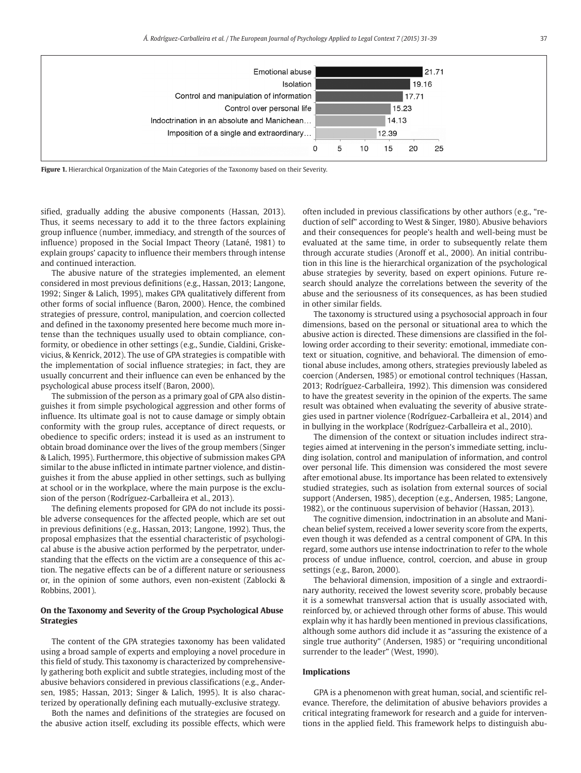

Figure 1. Hierarchical Organization of the Main Categories of the Taxonomy based on their Severity.

sified, gradually adding the abusive components (Hassan, 2013). Thus, it seems necessary to add it to the three factors explaining group influence (number, immediacy, and strength of the sources of influence) proposed in the Social Impact Theory (Latané, 1981) to explain groups' capacity to influence their members through intense and continued interaction.

The abusive nature of the strategies implemented, an element considered in most previous definitions (e.g., Hassan, 2013; Langone, 1992; Singer & Lalich, 1995), makes GPA qualitatively different from other forms of social influence (Baron, 2000). Hence, the combined strategies of pressure, control, manipulation, and coercion collected and defined in the taxonomy presented here become much more intense than the techniques usually used to obtain compliance, conformity, or obedience in other settings (e.g., Sundie, Cialdini, Griskevicius, & Kenrick, 2012). The use of GPA strategies is compatible with the implementation of social influence strategies; in fact, they are usually concurrent and their influence can even be enhanced by the psychological abuse process itself (Baron, 2000).

The submission of the person as a primary goal of GPA also distinguishes it from simple psychological aggression and other forms of influence. Its ultimate goal is not to cause damage or simply obtain conformity with the group rules, acceptance of direct requests, or obedience to specific orders; instead it is used as an instrument to obtain broad dominance over the lives of the group members (Singer & Lalich, 1995). Furthermore, this objective of submission makes GPA similar to the abuse inflicted in intimate partner violence, and distinguishes it from the abuse applied in other settings, such as bullying at school or in the workplace, where the main purpose is the exclusion of the person (Rodríguez-Carballeira et al., 2013).

The defining elements proposed for GPA do not include its possible adverse consequences for the affected people, which are set out in previous definitions (e.g., Hassan, 2013; Langone, 1992). Thus, the proposal emphasizes that the essential characteristic of psychological abuse is the abusive action performed by the perpetrator, understanding that the effects on the victim are a consequence of this action. The negative effects can be of a different nature or seriousness or, in the opinion of some authors, even non-existent (Zablocki & Robbins, 2001).

## **On the Taxonomy and Severity of the Group Psychological Abuse Strategies**

The content of the GPA strategies taxonomy has been validated using a broad sample of experts and employing a novel procedure in this field of study. This taxonomy is characterized by comprehensively gathering both explicit and subtle strategies, including most of the abusive behaviors considered in previous classifications (e.g., Andersen, 1985; Hassan, 2013; Singer & Lalich, 1995). It is also characterized by operationally defining each mutually-exclusive strategy.

Both the names and definitions of the strategies are focused on the abusive action itself, excluding its possible effects, which were often included in previous classifications by other authors (e.g., "reduction of self" according to West & Singer, 1980). Abusive behaviors and their consequences for people's health and well-being must be evaluated at the same time, in order to subsequently relate them through accurate studies (Aronoff et al., 2000). An initial contribution in this line is the hierarchical organization of the psychological abuse strategies by severity, based on expert opinions. Future research should analyze the correlations between the severity of the abuse and the seriousness of its consequences, as has been studied in other similar fields.

The taxonomy is structured using a psychosocial approach in four dimensions, based on the personal or situational area to which the abusive action is directed. These dimensions are classified in the following order according to their severity: emotional, immediate context or situation, cognitive, and behavioral. The dimension of emotional abuse includes, among others, strategies previously labeled as coercion (Andersen, 1985) or emotional control techniques (Hassan, 2013; Rodríguez-Carballeira, 1992). This dimension was considered to have the greatest severity in the opinion of the experts. The same result was obtained when evaluating the severity of abusive strategies used in partner violence (Rodríguez-Carballeira et al., 2014) and in bullying in the workplace (Rodríguez-Carballeira et al., 2010).

The dimension of the context or situation includes indirect strategies aimed at intervening in the person's immediate setting, including isolation, control and manipulation of information, and control over personal life. This dimension was considered the most severe after emotional abuse. Its importance has been related to extensively studied strategies, such as isolation from external sources of social support (Andersen, 1985), deception (e.g., Andersen, 1985; Langone, 1982), or the continuous supervision of behavior (Hassan, 2013).

The cognitive dimension, indoctrination in an absolute and Manichean belief system, received a lower severity score from the experts, even though it was defended as a central component of GPA. In this regard, some authors use intense indoctrination to refer to the whole process of undue influence, control, coercion, and abuse in group settings (e.g., Baron, 2000).

The behavioral dimension, imposition of a single and extraordinary authority, received the lowest severity score, probably because it is a somewhat transversal action that is usually associated with, reinforced by, or achieved through other forms of abuse. This would explain why it has hardly been mentioned in previous classifications, although some authors did include it as "assuring the existence of a single true authority" (Andersen, 1985) or "requiring unconditional surrender to the leader" (West, 1990).

## **Implications**

GPA is a phenomenon with great human, social, and scientific relevance. Therefore, the delimitation of abusive behaviors provides a critical integrating framework for research and a guide for interventions in the applied field. This framework helps to distinguish abu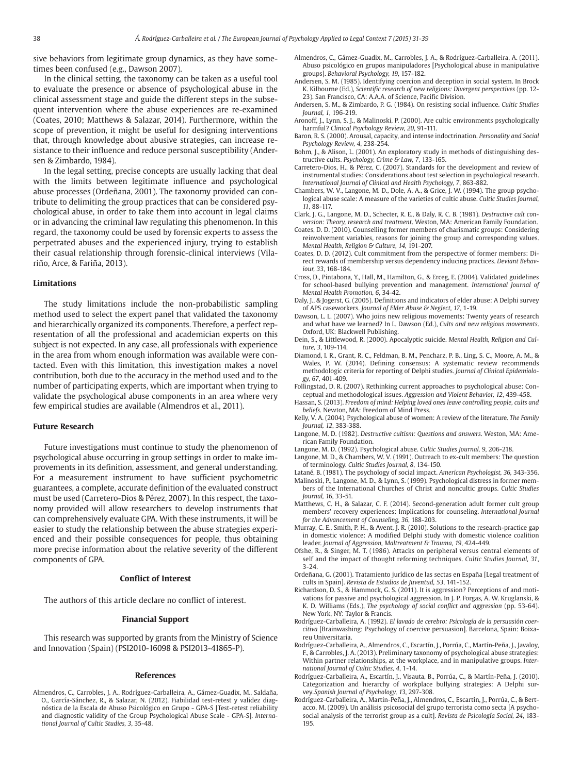sive behaviors from legitimate group dynamics, as they have sometimes been confused (e.g., Dawson 2007).

In the clinical setting, the taxonomy can be taken as a useful tool to evaluate the presence or absence of psychological abuse in the clinical assessment stage and guide the different steps in the subsequent intervention where the abuse experiences are re-examined (Coates, 2010; Matthews & Salazar, 2014). Furthermore, within the scope of prevention, it might be useful for designing interventions that, through knowledge about abusive strategies, can increase resistance to their influence and reduce personal susceptibility (Andersen & Zimbardo, 1984).

In the legal setting, precise concepts are usually lacking that deal with the limits between legitimate influence and psychological abuse processes (Ordeñana, 2001). The taxonomy provided can contribute to delimiting the group practices that can be considered psychological abuse, in order to take them into account in legal claims or in advancing the criminal law regulating this phenomenon. In this regard, the taxonomy could be used by forensic experts to assess the perpetrated abuses and the experienced injury, trying to establish their casual relationship through forensic-clinical interviews (Vilariño, Arce, & Fariña, 2013).

#### **Limitations**

The study limitations include the non-probabilistic sampling method used to select the expert panel that validated the taxonomy and hierarchically organized its components. Therefore, a perfect representation of all the professional and academician experts on this subject is not expected. In any case, all professionals with experience in the area from whom enough information was available were contacted. Even with this limitation, this investigation makes a novel contribution, both due to the accuracy in the method used and to the number of participating experts, which are important when trying to validate the psychological abuse components in an area where very few empirical studies are available (Almendros et al., 2011).

#### **Future Research**

Future investigations must continue to study the phenomenon of psychological abuse occurring in group settings in order to make improvements in its definition, assessment, and general understanding. For a measurement instrument to have sufficient psychometric guaran tees, a complete, accurate definition of the evaluated construct must be used (Carretero-Dios & Pérez, 2007). In this respect, the taxonomy provided will allow researchers to develop instruments that can comprehensively evaluate GPA. With these instruments, it will be easier to study the relationship between the abuse strategies experienced and their possible consequences for people, thus obtaining more precise information about the relative severity of the different components of GPA.

#### **Conflict of Interest**

The authors of this article declare no conflict of interest.

#### **Financial Support**

This research was supported by grants from the Ministry of Science and Innovation (Spain) (PSI2010-16098 & PSI2013-41865-P).

#### **References**

Almendros, C., Carrobles, J. A., Rodríguez-Carballeira, A., Gámez-Guadix, M., Saldaña, O., García-Sánchez, R., & Salazar, N. (2012). Fiabilidad test-retest y validez diagnóstica de la Escala de Abuso Psicológico en Grupo - GPA-S [Test-retest reliability and diagnostic validity of the Group Psychological Abuse Scale - GPA-S]. *International Journal of Cultic Studies, 3*, 35-48.

- Almendros, C., Gámez-Guadix, M., Carrobles, J. A., & Rodríguez-Carballeira, A. (2011). Abuso psicológico en grupos manipuladores [Psychological abuse in manipulative groups]. *Behavioral Psychology, 19*, 157-182.
- Andersen, S. M. (1985). Identifying coercion and deception in social system. In Brock K. Kilbourne (Ed.), *Scientific research of new religions: Divergent perspectives* (pp. 12- 23). San Francisco, CA: A.A.A. of Science, Pacific Division.
- Andersen, S. M., & Zimbardo, P. G. (1984). On resisting social influence. *Cultic Studies Journal, 1*, 196-219.
- Aronoff, J., Lynn, S. J., & Malinoski, P. (2000). Are cultic environments psychologically harmful? *Clinical Psychology Review, 20*, 91-111.
- Baron, R. S. (2000). Arousal, capacity, and intense indoctrination. *Personality and Social Psychology Review, 4*, 238-254.
- Bohm, J., & Alison, L. (2001). An exploratory study in methods of distinguishing destructive cults. *Psychology, Crime & Law, 7*, 133-165.
- Carretero-Dios, H., & Pérez, C. (2007). Standards for the development and review of instrumental studies: Considerations about test selection in psychological research. *International Journal of Clinical and Health Psychology, 7*, 863-882.
- Chambers, W. V., Langone, M. D., Dole, A. A., & Grice, J. W. (1994). The group psychological abuse scale: A measure of the varieties of cultic abuse. *Cultic Studies Journal, 11*, 88-117.
- Clark, J. G., Langone, M. D., Schecter, R. E., & Daly, R. C. B. (1981). *Destructive cult conversion: Theory, research and treatment*. Weston, MA: American Family Foundation.
- Coates, D. D. (2010). Counselling former members of charismatic groups: Considering reinvolvement variables, reasons for joining the group and corresponding values. *Mental Health, Religion & Culture, 14*, 191-207.
- Coates, D. D. (2012). Cult commitment from the perspective of former members: Direct rewards of membership versus dependency inducing practices. *Deviant Behaviour, 33*, 168-184.
- Cross, D., Pintabona, Y., Hall, M., Hamilton, G., & Erceg, E. (2004). Validated guidelines for school-based bullying prevention and management. *International Journal of Mental Health Promotion, 6*, 34-42.
- Daly, J., & Jogerst, G. (2005). Definitions and indicators of elder abuse: A Delphi survey of APS caseworkers. *Journal of Elder Abuse & Neglect, 17*, 1-19.
- Dawson, L. L. (2007). Who joins new religious movements: Twenty years of research and what have we learned? In L. Dawson (Ed.), *Cults and new religious movements*. Oxford, UK: Blackwell Publishing.
- Dein, S., & Littlewood, R. (2000). Apocalyptic suicide. *Mental Health, Religion and Culture, 3*, 109-114.
- Diamond, I. R., Grant, R. C., Feldman, B. M., Pencharz, P. B., Ling, S. C., Moore, A. M., & Wales, P. W. (2014). Defining consensus: A systematic review recommends methodo logic criteria for reporting of Delphi studies. *Journal of Clinical Epidemiology, 67*, 401-409.
- Follingstad, D. R. (2007). Rethinking current approaches to psychological abuse: Conceptual and methodological issues. *Aggression and Violent Behavior, 12*, 439-458.
- Hassan, S. (2013). *Freedom of mind: Helping loved ones leave controlling people, cults and beliefs*. Newton, MA: Freedom of Mind Press.
- Kelly, V. A. (2004). Psychological abuse of women: A review of the literature. *The Family Journal, 12*, 383-388.
- Langone, M. D. (1982). *Destructive cultism: Questions and answers*. Weston, MA: American Family Foundation.
- Langone, M. D. (1992). Psychological abuse. *Cultic Studies Journal, 9*, 206-218. Langone, M. D., & Chambers, W. V. (1991). Outreach to ex-cult members: The question
- of terminology. *Cultic Studies Journal, 8*, 134-150. Latané, B. (1981). The psychology of social impact. *American Psychologist, 36,* 343-356.
- Malinoski, P., Langone, M. D., & Lynn, S. (1999). Psychological distress in former members of the International Churches of Christ and noncultic groups. *Cultic Studies Journal, 16*, 33-51.
- Matthews, C. H., & Salazar, C. F. (2014). Second-generation adult former cult group members' recovery experiences: Implications for counseling. *International Journal for the Advancement of Counseling, 36*, 188-203.
- Murray, C. E., Smith, P. H., & Avent, J. R. (2010). Solutions to the research-practice gap in domestic violence: A modified Delphi study with domestic violence coalition leader. *Journal of Aggression, Maltreatment & Trauma, 19*, 424-449.
- Ofshe, R., & Singer, M. T. (1986). Attacks on peripheral versus central elements of self and the impact of thought reforming techniques. *Cultic Studies Journal, 31*, 3-24.
- Ordeñana, G. (2001). Tratamiento jurídico de las sectas en España [Legal treatment of cults in Spain]. *Revista de Estudios de Juventud, 53*, 141-152.
- Richardson, D. S., & Hammock, G. S. (2011). It is aggression? Perceptions of and motivations for passive and psychological aggression. In J. P. Forgas, A. W. Kruglanski, & K. D. Williams (Eds.), *The psychology of social conflict and aggression* (pp. 53-64). New York, NY: Taylor & Francis.
- Rodríguez-Carballeira, A. (1992). *El lavado de cerebro: Psicología de la persuasión coercitiva* [Brainwashing: Psychology of coercive persuasion]. Barcelona, Spain: Boixareu Universitaria.
- Rodríguez-Carballeira, A., Almendros, C., Escartín, J., Porrúa, C., Martín-Peña, J., Javaloy, F., & Carrobles, J. A. (2013). Preliminary taxonomy of psychological abuse strategies: Within partner relationships, at the workplace, and in manipulative groups. *International Journal of Cultic Studies, 4*, 1-14.
- Rodríguez-Carballeira, A., Escartín, J., Visauta, B., Porrúa, C., & Martín-Peña, J. (2010). Categorization and hierarchy of workplace bullying strategies: A Delphi survey. *Spanish Journal of Psychology, 13*, 297-308.
- Rodríguez-Carballeira, A., Martin-Peña, J., Almendros, C., Escartín, J., Porrúa, C., & Bertacco, M. (2009). Un análisis psicosocial del grupo terrorista como secta [A psychosocial analysis of the terrorist group as a cult]. *Revista de Psicología Social, 24*, 183- 195.